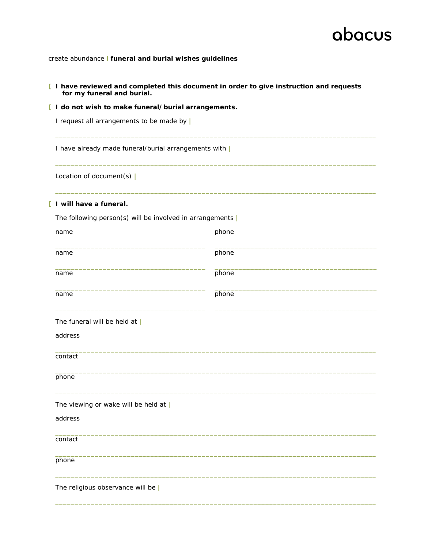create abundance **l funeral and burial wishes guidelines**

#### **[ I have reviewed and completed this document in order to give instruction and requests for my funeral and burial.**

\_\_\_\_\_\_\_\_\_\_\_\_\_\_\_\_\_\_\_\_\_\_\_\_\_\_\_\_\_\_\_\_\_\_\_\_\_\_\_\_\_\_\_\_\_\_\_\_\_\_\_\_\_\_\_\_\_\_\_\_\_\_\_\_\_\_\_\_\_\_\_\_\_\_\_\_\_\_\_\_\_

\_\_\_\_\_\_\_\_\_\_\_\_\_\_\_\_\_\_\_\_\_\_\_\_\_\_\_\_\_\_\_\_\_\_\_\_\_\_\_\_\_\_\_\_\_\_\_\_\_\_\_\_\_\_\_\_\_\_\_\_\_\_\_\_\_\_\_\_\_\_\_\_\_\_\_\_\_\_\_\_\_

\_\_\_\_\_\_\_\_\_\_\_\_\_\_\_\_\_\_\_\_\_\_\_\_\_\_\_\_\_\_\_\_\_\_\_\_\_\_\_\_\_\_\_\_\_\_\_\_\_\_\_\_\_\_\_\_\_\_\_\_\_\_\_\_\_\_\_\_\_\_\_\_\_\_\_\_\_\_\_\_\_

**[ I do not wish to make funeral/burial arrangements.** 

I request all arrangements to be made by **|**

I have already made funeral/burial arrangements with **|**

Location of document(s) **|**

#### **[ I will have a funeral.**

| The following person(s) will be involved in arrangements |       |
|----------------------------------------------------------|-------|
| name                                                     | phone |
| name                                                     | phone |
| name                                                     | phone |
| name                                                     | phone |
| The funeral will be held at $ $                          |       |
| address                                                  |       |
| contact                                                  |       |
| phone                                                    |       |
| The viewing or wake will be held at $ $                  |       |
| address                                                  |       |
| contact                                                  |       |
| phone                                                    |       |
| The religious observance will be $ $                     |       |
|                                                          |       |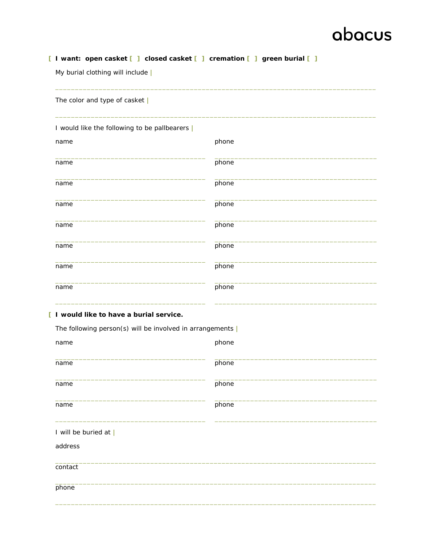#### [ I want: open casket [ ] closed casket [ ] cremation [ ] green burial [ ]

My burial clothing will include |

| The color and type of casket                             |       |
|----------------------------------------------------------|-------|
| I would like the following to be pallbearers             |       |
| name                                                     | phone |
| name                                                     | phone |
| name                                                     | phone |
| name                                                     | phone |
| name                                                     | phone |
| name                                                     | phone |
| name                                                     | phone |
| name                                                     | phone |
| [ I would like to have a burial service.                 |       |
| The following person(s) will be involved in arrangements |       |
| name                                                     | phone |
| name                                                     | phone |
| name                                                     | phone |
| name                                                     | phone |
| I will be buried at                                      |       |
| address                                                  |       |
| contact                                                  |       |

phone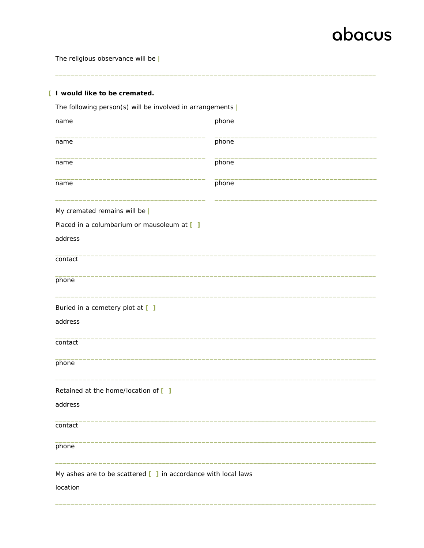The religious observance will be |

| [ I would like to be cremated.                                                                                |       |
|---------------------------------------------------------------------------------------------------------------|-------|
| The following person(s) will be involved in arrangements $ $                                                  |       |
| name                                                                                                          | phone |
| name                                                                                                          | phone |
| name                                                                                                          | phone |
| name                                                                                                          | phone |
| My cremated remains will be                                                                                   |       |
| Placed in a columbarium or mausoleum at [ ]                                                                   |       |
| address                                                                                                       |       |
| contact                                                                                                       |       |
| phone                                                                                                         |       |
| Buried in a cemetery plot at [ ]                                                                              |       |
| address                                                                                                       |       |
| contact                                                                                                       |       |
| phone                                                                                                         |       |
| Retained at the home/location of []                                                                           |       |
| address                                                                                                       |       |
| contact                                                                                                       |       |
| phone                                                                                                         |       |
| My ashes are to be scattered $\begin{bmatrix} 1 \\ 1 \end{bmatrix}$ in accordance with local laws<br>location |       |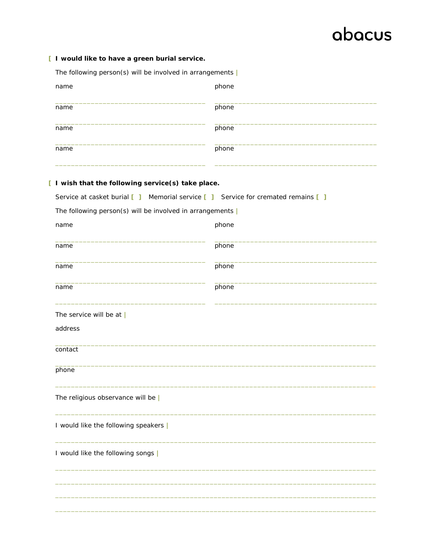#### [ I would like to have a green burial service.

| The following person(s) will be involved in arrangements |
|----------------------------------------------------------|
| phone                                                    |
| phone                                                    |
| phone                                                    |
| phone                                                    |
| wish that the following service(s) take place.           |
|                                                          |

| Service at casket burial $\begin{bmatrix} 1 \\ 1 \end{bmatrix}$ Memorial service $\begin{bmatrix} 1 \\ 1 \end{bmatrix}$ Service for cremated remains $\begin{bmatrix} 1 \\ 1 \end{bmatrix}$ |       |  |
|---------------------------------------------------------------------------------------------------------------------------------------------------------------------------------------------|-------|--|
| The following person(s) will be involved in arrangements $ $                                                                                                                                |       |  |
| name                                                                                                                                                                                        | phone |  |
| name                                                                                                                                                                                        | phone |  |
| name                                                                                                                                                                                        | phone |  |
| name                                                                                                                                                                                        | phone |  |
| The service will be at $ $                                                                                                                                                                  |       |  |
| address                                                                                                                                                                                     |       |  |
| contact                                                                                                                                                                                     |       |  |
| phone                                                                                                                                                                                       |       |  |
| The religious observance will be $ $                                                                                                                                                        |       |  |
| I would like the following speakers                                                                                                                                                         |       |  |
| I would like the following songs                                                                                                                                                            |       |  |
|                                                                                                                                                                                             |       |  |
|                                                                                                                                                                                             |       |  |
|                                                                                                                                                                                             |       |  |